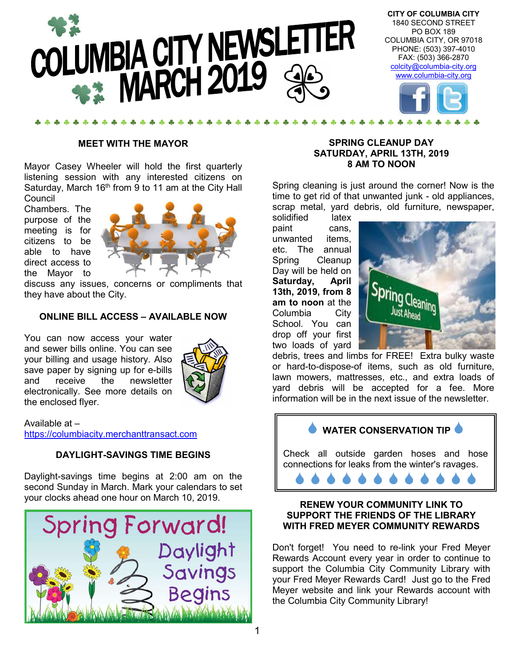

#### **MEET WITH THE MAYOR**

Mayor Casey Wheeler will hold the first quarterly listening session with any interested citizens on Saturday, March  $16<sup>th</sup>$  from 9 to 11 am at the City Hall Council

Chambers. The purpose of the meeting is for citizens to be able to have direct access to the Mayor to



discuss any issues, concerns or compliments that they have about the City.

#### **ONLINE BILL ACCESS – AVAILABLE NOW**

You can now access your water and sewer bills online. You can see your billing and usage history. Also save paper by signing up for e-bills and receive the newsletter electronically. See more details on the enclosed flyer.



#### Available at – https://columbiacity.merchanttransact.com

#### **DAYLIGHT-SAVINGS TIME BEGINS**

Daylight-savings time begins at 2:00 am on the second Sunday in March. Mark your calendars to set your clocks ahead one hour on March 10, 2019.



#### **SPRING CLEANUP DAY SATURDAY, APRIL 13TH, 2019 8 AM TO NOON**

Spring cleaning is just around the corner! Now is the time to get rid of that unwanted junk - old appliances, scrap metal, yard debris, old furniture, newspaper,

solidified latex paint cans, unwanted items, etc. The annual Spring Cleanup Day will be held on **Saturday, April 13th, 2019, from 8 am to noon** at the Columbia City School. You can drop off your first two loads of yard



debris, trees and limbs for FREE! Extra bulky waste or hard-to-dispose-of items, such as old furniture, lawn mowers, mattresses, etc., and extra loads of yard debris will be accepted for a fee. More information will be in the next issue of the newsletter.

**WATER CONSERVATION TIP** 

Check all outside garden hoses and hose connections for leaks from the winter's ravages.

#### **RENEW YOUR COMMUNITY LINK TO SUPPORT THE FRIENDS OF THE LIBRARY WITH FRED MEYER COMMUNITY REWARDS**

Don't forget! You need to re-link your Fred Meyer Rewards Account every year in order to continue to support the Columbia City Community Library with your Fred Meyer Rewards Card! Just go to the Fred Meyer website and link your Rewards account with the Columbia City Community Library!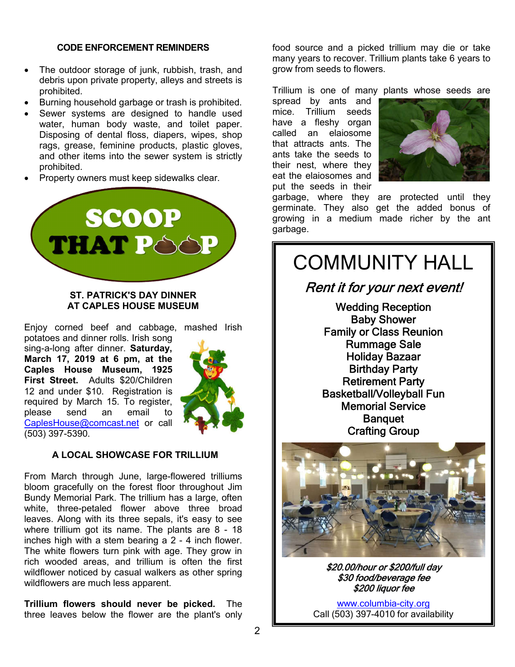#### **CODE ENFORCEMENT REMINDERS**

- The outdoor storage of junk, rubbish, trash, and debris upon private property, alleys and streets is prohibited.
- Burning household garbage or trash is prohibited.
- Sewer systems are designed to handle used water, human body waste, and toilet paper. Disposing of dental floss, diapers, wipes, shop rags, grease, feminine products, plastic gloves, and other items into the sewer system is strictly prohibited.
- Property owners must keep sidewalks clear.



#### **ST. PATRICK'S DAY DINNER AT CAPLES HOUSE MUSEUM**

Enjoy corned beef and cabbage, mashed Irish

potatoes and dinner rolls. Irish song sing-a-long after dinner. **Saturday, March 17, 2019 at 6 pm, at the Caples House Museum, 1925 First Street.** Adults \$20/Children 12 and under \$10.Registration is required by March 15. To register, please send an email to CaplesHouse@comcast.net or call (503) 397-5390.



#### **A LOCAL SHOWCASE FOR TRILLIUM**

From March through June, large-flowered trilliums bloom gracefully on the forest floor throughout Jim Bundy Memorial Park. The trillium has a large, often white, three-petaled flower above three broad leaves. Along with its three sepals, it's easy to see where trillium got its name. The plants are 8 - 18 inches high with a stem bearing a 2 - 4 inch flower. The white flowers turn pink with age. They grow in rich wooded areas, and trillium is often the first wildflower noticed by casual walkers as other spring wildflowers are much less apparent.

**Trillium flowers should never be picked.** The three leaves below the flower are the plant's only

food source and a picked trillium may die or take many years to recover. Trillium plants take 6 years to grow from seeds to flowers.

Trillium is one of many plants whose seeds are

spread by ants and mice. Trillium seeds have a fleshy organ called an elaiosome that attracts ants. The ants take the seeds to their nest, where they eat the elaiosomes and put the seeds in their



garbage, where they are protected until they germinate. They also get the added bonus of growing in a medium made richer by the ant garbage.

### COMMUNITY HALL

#### Rent it for your next event!

Wedding Reception Baby Shower Family or Class Reunion Rummage Sale Holiday Bazaar Birthday Party Retirement Party Basketball/Volleyball Fun Memorial Service **Banquet** Crafting Group



\$20.00/hour or \$200/full day \$30 food/beverage fee \$200 liquor fee

www.columbia-city.org Call (503) 397-4010 for availability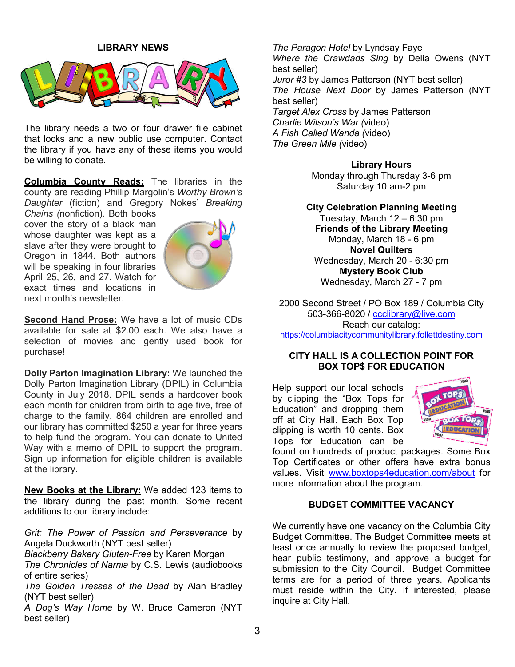

The library needs a two or four drawer file cabinet that locks and a new public use computer. Contact the library if you have any of these items you would be willing to donate.

**Columbia County Reads:** The libraries in the county are reading Phillip Margolin's *Worthy Brown's Daughter* (fiction) and Gregory Nokes' *Breaking* 

*Chains (*nonfiction)*.* Both books cover the story of a black man whose daughter was kept as a slave after they were brought to Oregon in 1844. Both authors will be speaking in four libraries April 25, 26, and 27. Watch for exact times and locations in next month's newsletter.



**Second Hand Prose:** We have a lot of music CDs available for sale at \$2.00 each. We also have a selection of movies and gently used book for purchase!

**Dolly Parton Imagination Library:** We launched the Dolly Parton Imagination Library (DPIL) in Columbia County in July 2018. DPIL sends a hardcover book each month for children from birth to age five, free of charge to the family. 864 children are enrolled and our library has committed \$250 a year for three years to help fund the program. You can donate to United Way with a memo of DPIL to support the program. Sign up information for eligible children is available at the library.

**New Books at the Library:** We added 123 items to the library during the past month. Some recent additions to our library include:

*Grit: The Power of Passion and Perseverance* by Angela Duckworth (NYT best seller)

*Blackberry Bakery Gluten-Free* by Karen Morgan

*The Chronicles of Narnia* by C.S. Lewis (audiobooks of entire series)

*The Golden Tresses of the Dead* by Alan Bradley (NYT best seller)

*A Dog's Way Home* by W. Bruce Cameron (NYT best seller)

*The Paragon Hotel* by Lyndsay Faye *Where the Crawdads Sing* by Delia Owens (NYT best seller) *Juror #3* by James Patterson (NYT best seller) *The House Next Door* by James Patterson (NYT best seller) *Target Alex Cross* by James Patterson *Charlie Wilson's War (*video) *A Fish Called Wanda (*video) *The Green Mile (*video)

> **Library Hours** Monday through Thursday 3-6 pm Saturday 10 am-2 pm

**City Celebration Planning Meeting** Tuesday, March 12 – 6:30 pm **Friends of the Library Meeting** Monday, March 18 - 6 pm **Novel Quilters** Wednesday, March 20 - 6:30 pm **Mystery Book Club** Wednesday, March 27 - 7 pm

2000 Second Street / PO Box 189 / Columbia City 503-366-8020 / ccclibrary@live.com Reach our catalog: https://columbiacitycommunitylibrary.follettdestiny.com

#### **CITY HALL IS A COLLECTION POINT FOR BOX TOP\$ FOR EDUCATION**

Help support our local schools by clipping the "Box Tops for Education" and dropping them off at City Hall. Each Box Top clipping is worth 10 cents. Box Tops for Education can be



found on hundreds of product packages. Some Box Top Certificates or other offers have extra bonus values. Visit www.boxtops4education.com/about for more information about the program.

#### **BUDGET COMMITTEE VACANCY**

We currently have one vacancy on the Columbia City Budget Committee. The Budget Committee meets at least once annually to review the proposed budget, hear public testimony, and approve a budget for submission to the City Council. Budget Committee terms are for a period of three years. Applicants must reside within the City. If interested, please inquire at City Hall.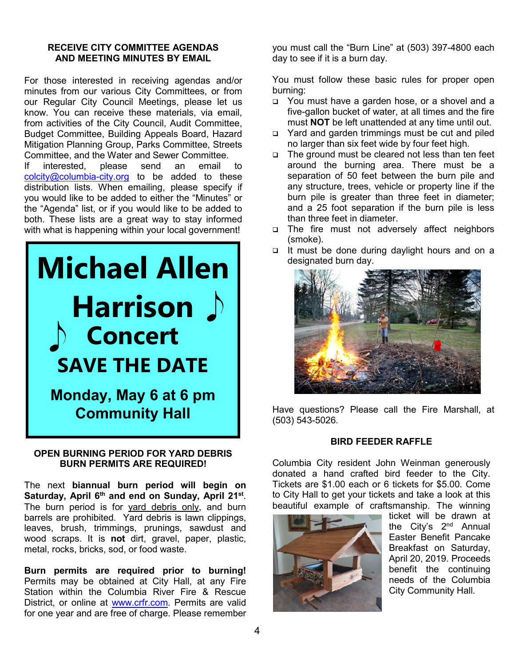#### **RECEIVE CITY COMMITTEE AGENDAS AND MEETING MINUTES BY EMAIL**

For those interested in receiving agendas and/or minutes from our various City Committees, or from our Regular City Council Meetings, please let us know. You can receive these materials, via email, from activities of the City Council, Audit Committee, Budget Committee, Building Appeals Board, Hazard Mitigation Planning Group, Parks Committee, Streets Committee, and the Water and Sewer Committee.<br>If interested, please send an email

If interested, please send an email to colcity@columbia-city.org to be added to these distribution lists. When emailing, please specify if you would like to be added to either the "Minutes" or the "Agenda" list, or if you would like to be added to both. These lists are a great way to stay informed with what is happening within your local government!



#### **OPEN BURNING PERIOD FOR YARD DEBRIS BURN PERMITS ARE REQUIRED!**

The next **biannual burn period will begin on Saturday, April 6th and end on Sunday, April 21st**. The burn period is for yard debris only, and burn barrels are prohibited. Yard debris is lawn clippings, leaves, brush, trimmings, prunings, sawdust and wood scraps. It is **not** dirt, gravel, paper, plastic, metal, rocks, bricks, sod, or food waste.

**Burn permits are required prior to burning!**  Permits may be obtained at City Hall, at any Fire Station within the Columbia River Fire & Rescue District, or online at www.crfr.com. Permits are valid for one year and are free of charge. Please remember

you must call the "Burn Line" at (503) 397-4800 each day to see if it is a burn day.

You must follow these basic rules for proper open burning:

- □ You must have a garden hose, or a shovel and a five-gallon bucket of water, at all times and the fire must **NOT** be left unattended at any time until out.
- □ Yard and garden trimmings must be cut and piled no larger than six feet wide by four feet high.
- $\Box$  The ground must be cleared not less than ten feet around the burning area. There must be a separation of 50 feet between the burn pile and any structure, trees, vehicle or property line if the burn pile is greater than three feet in diameter; and a 25 foot separation if the burn pile is less than three feet in diameter.
- □ The fire must not adversely affect neighbors (smoke).
- □ It must be done during daylight hours and on a designated burn day.



Have questions? Please call the Fire Marshall, at (503) 543-5026.

#### **BIRD FEEDER RAFFLE**

Columbia City resident John Weinman generously donated a hand crafted bird feeder to the City. Tickets are \$1.00 each or 6 tickets for \$5.00. Come to City Hall to get your tickets and take a look at this beautiful example of craftsmanship. The winning



ticket will be drawn at the City's 2<sup>nd</sup> Annual Easter Benefit Pancake Breakfast on Saturday, April 20, 2019. Proceeds benefit the continuing needs of the Columbia City Community Hall.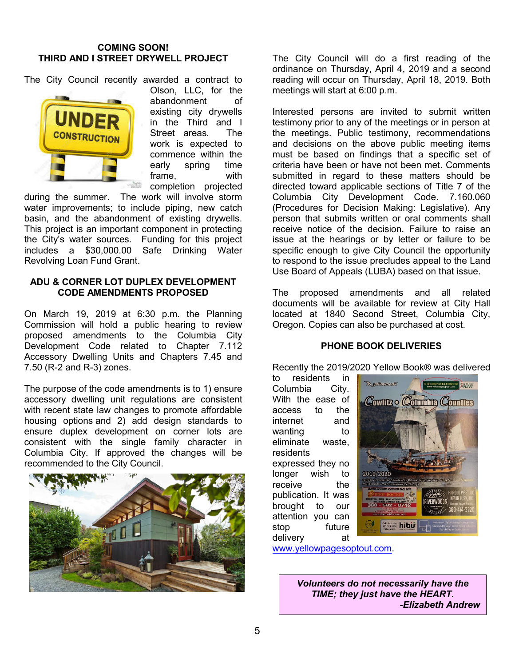#### **COMING SOON! THIRD AND I STREET DRYWELL PROJECT**

The City Council recently awarded a contract to



Olson, LLC, for the abandonment of existing city drywells in the Third and I Street areas. The work is expected to commence within the early spring time frame, with completion projected

during the summer. The work will involve storm water improvements; to include piping, new catch basin, and the abandonment of existing drywells. This project is an important component in protecting the City's water sources. Funding for this project includes a \$30,000.00 Safe Drinking Water Revolving Loan Fund Grant.

#### **ADU & CORNER LOT DUPLEX DEVELOPMENT CODE AMENDMENTS PROPOSED**

On March 19, 2019 at 6:30 p.m. the Planning Commission will hold a public hearing to review proposed amendments to the Columbia City Development Code related to Chapter 7.112 Accessory Dwelling Units and Chapters 7.45 and 7.50 (R-2 and R-3) zones.

The purpose of the code amendments is to 1) ensure accessory dwelling unit regulations are consistent with recent state law changes to promote affordable housing options and 2) add design standards to ensure duplex development on corner lots are consistent with the single family character in Columbia City. If approved the changes will be recommended to the City Council.



The City Council will do a first reading of the ordinance on Thursday, April 4, 2019 and a second reading will occur on Thursday, April 18, 2019. Both meetings will start at 6:00 p.m.

Interested persons are invited to submit written testimony prior to any of the meetings or in person at the meetings. Public testimony, recommendations and decisions on the above public meeting items must be based on findings that a specific set of criteria have been or have not been met. Comments submitted in regard to these matters should be directed toward applicable sections of Title 7 of the Columbia City Development Code. 7.160.060 (Procedures for Decision Making: Legislative). Any person that submits written or oral comments shall receive notice of the decision. Failure to raise an issue at the hearings or by letter or failure to be specific enough to give City Council the opportunity to respond to the issue precludes appeal to the Land Use Board of Appeals (LUBA) based on that issue.

The proposed amendments and all related documents will be available for review at City Hall located at 1840 Second Street, Columbia City, Oregon. Copies can also be purchased at cost.

#### **PHONE BOOK DELIVERIES**

Recently the 2019/2020 Yellow Book® was delivered

to residents in Columbia City. With the ease of access to the internet and wanting to eliminate waste, residents expressed they no longer wish to receive the publication. It was brought to our attention you can stop future delivery at



www.yellowpagesoptout.com.

*Volunteers do not necessarily have the TIME; they just have the HEART. -Elizabeth Andrew*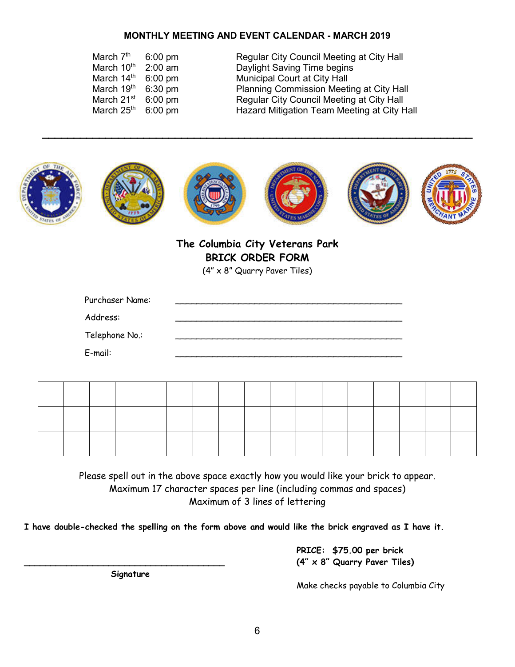#### **MONTHLY MEETING AND EVENT CALENDAR - MARCH 2019**

| March 7 <sup>th</sup> | $6:00 \text{ pm}$ |
|-----------------------|-------------------|
| March 10th            | $2:00$ am         |
| March 14th            | $6:00$ pm         |
| March 19th            | 6:30 pm           |
| March 21st            | 6:00 pm           |
| March 25th            | 6:00 pm           |

Regular City Council Meeting at City Hall Daylight Saving Time begins Municipal Court at City Hall Planning Commission Meeting at City Hall Regular City Council Meeting at City Hall Hazard Mitigation Team Meeting at City Hall



**\_\_\_\_\_\_\_\_\_\_\_\_\_\_\_\_\_\_\_\_\_\_\_\_\_\_\_\_\_\_\_\_\_\_\_\_\_\_\_\_\_\_\_\_\_\_\_\_\_\_\_\_\_\_\_\_\_\_\_\_\_\_\_\_\_\_\_\_**

**The Columbia City Veterans Park BRICK ORDER FORM**

(4" x 8" Quarry Paver Tiles)

| Purchaser Name: |  |
|-----------------|--|
| Address:        |  |
| Telephone No.:  |  |
| E-mail:         |  |

Please spell out in the above space exactly how you would like your brick to appear. Maximum 17 character spaces per line (including commas and spaces) Maximum of 3 lines of lettering

**I have double-checked the spelling on the form above and would like the brick engraved as I have it.**

 **PRICE: \$75.00 per brick \_\_\_\_\_\_\_\_\_\_\_\_\_\_\_\_\_\_\_\_\_\_\_\_\_\_\_\_\_\_\_\_\_\_\_\_\_\_ (4" x 8" Quarry Paver Tiles)**

 **Signature**

Make checks payable to Columbia City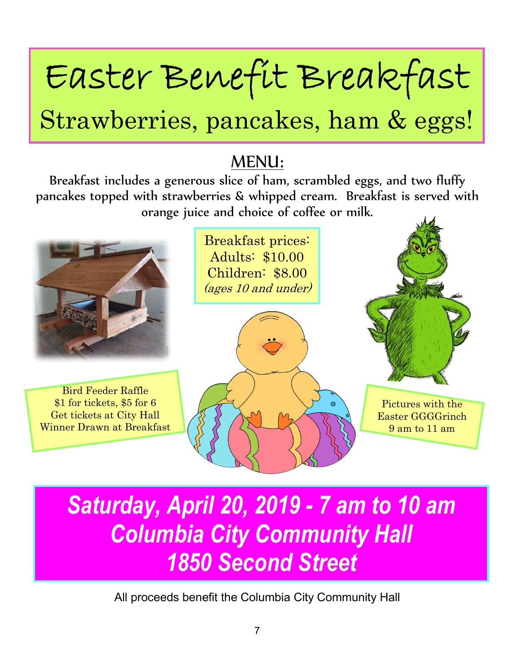# Easter Benefit Breakfast

## Strawberries, pancakes, ham & eggs!

### MENU:

Breakfast includes a generous slice of ham, scrambled eggs, and two fluffy pancakes topped with strawberries & whipped cream. Breakfast is served with orange juice and choice of coffee or milk.



### *Saturday, April 20, 2019 - 7 am to 10 am Columbia City Community Hall 1850 Second Street*

All proceeds benefit the Columbia City Community Hall